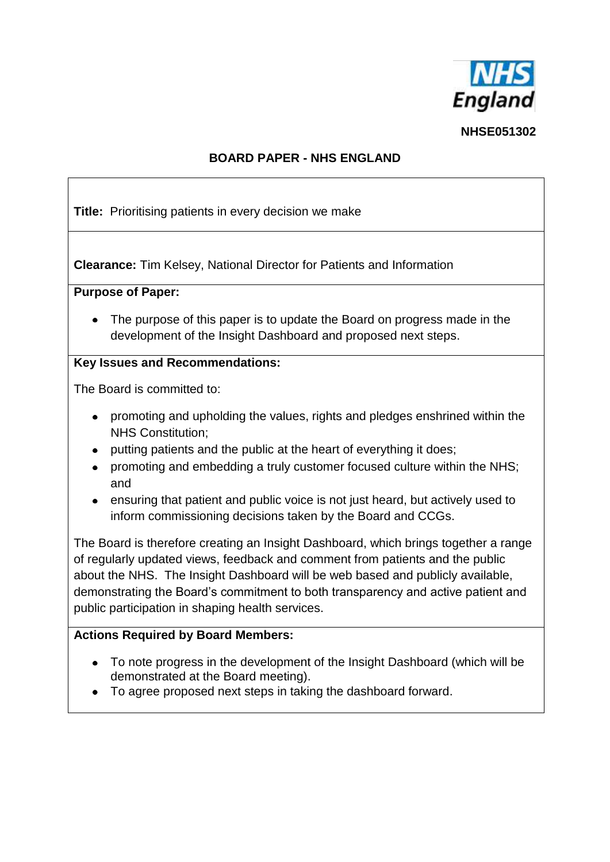

**NHSE051302**

#### **BOARD PAPER - NHS ENGLAND**

**Title:** Prioritising patients in every decision we make

**Clearance:** Tim Kelsey, National Director for Patients and Information

#### **Purpose of Paper:**

• The purpose of this paper is to update the Board on progress made in the development of the Insight Dashboard and proposed next steps.

### **Key Issues and Recommendations:**

The Board is committed to:

- promoting and upholding the values, rights and pledges enshrined within the NHS Constitution;
- putting patients and the public at the heart of everything it does;
- promoting and embedding a truly customer focused culture within the NHS;  $\bullet$ and
- ensuring that patient and public voice is not just heard, but actively used to inform commissioning decisions taken by the Board and CCGs.

The Board is therefore creating an Insight Dashboard, which brings together a range of regularly updated views, feedback and comment from patients and the public about the NHS. The Insight Dashboard will be web based and publicly available, demonstrating the Board's commitment to both transparency and active patient and public participation in shaping health services.

# **Actions Required by Board Members:**

- To note progress in the development of the Insight Dashboard (which will be demonstrated at the Board meeting).
- To agree proposed next steps in taking the dashboard forward.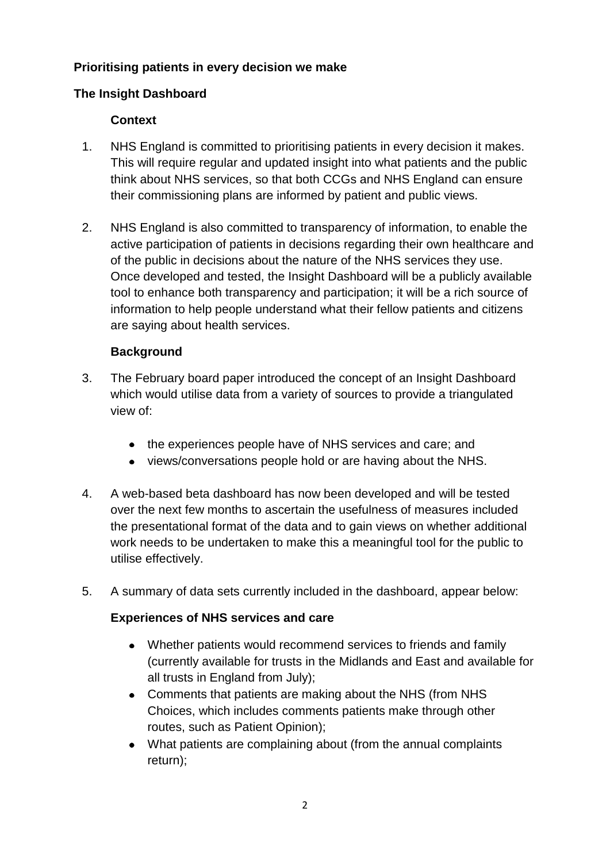## **Prioritising patients in every decision we make**

## **The Insight Dashboard**

#### **Context**

- 1. NHS England is committed to prioritising patients in every decision it makes. This will require regular and updated insight into what patients and the public think about NHS services, so that both CCGs and NHS England can ensure their commissioning plans are informed by patient and public views.
- 2. NHS England is also committed to transparency of information, to enable the active participation of patients in decisions regarding their own healthcare and of the public in decisions about the nature of the NHS services they use. Once developed and tested, the Insight Dashboard will be a publicly available tool to enhance both transparency and participation; it will be a rich source of information to help people understand what their fellow patients and citizens are saying about health services.

#### **Background**

- 3. The February board paper introduced the concept of an Insight Dashboard which would utilise data from a variety of sources to provide a triangulated view of:
	- the experiences people have of NHS services and care; and
	- views/conversations people hold or are having about the NHS.
- 4. A web-based beta dashboard has now been developed and will be tested over the next few months to ascertain the usefulness of measures included the presentational format of the data and to gain views on whether additional work needs to be undertaken to make this a meaningful tool for the public to utilise effectively.
- 5. A summary of data sets currently included in the dashboard, appear below:

#### **Experiences of NHS services and care**

- Whether patients would recommend services to friends and family (currently available for trusts in the Midlands and East and available for all trusts in England from July);
- Comments that patients are making about the NHS (from NHS Choices, which includes comments patients make through other routes, such as Patient Opinion);
- What patients are complaining about (from the annual complaints return);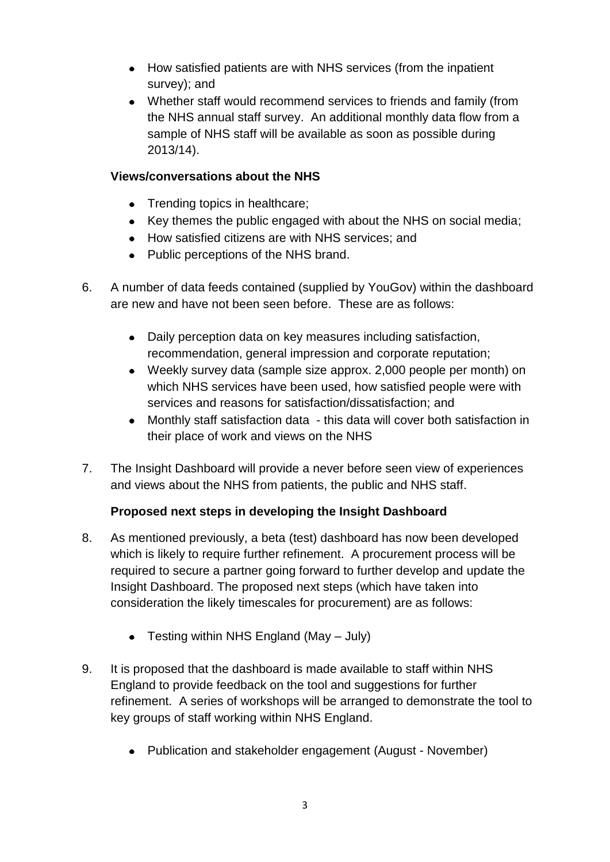- How satisfied patients are with NHS services (from the inpatient survey); and
- Whether staff would recommend services to friends and family (from the NHS annual staff survey. An additional monthly data flow from a sample of NHS staff will be available as soon as possible during 2013/14).

#### **Views/conversations about the NHS**

- Trending topics in healthcare;
- Key themes the public engaged with about the NHS on social media;
- How satisfied citizens are with NHS services; and
- Public perceptions of the NHS brand.
- 6. A number of data feeds contained (supplied by YouGov) within the dashboard are new and have not been seen before. These are as follows:
	- Daily perception data on key measures including satisfaction, recommendation, general impression and corporate reputation;
	- Weekly survey data (sample size approx. 2,000 people per month) on which NHS services have been used, how satisfied people were with services and reasons for satisfaction/dissatisfaction; and
	- Monthly staff satisfaction data this data will cover both satisfaction in their place of work and views on the NHS
- 7. The Insight Dashboard will provide a never before seen view of experiences and views about the NHS from patients, the public and NHS staff.

# **Proposed next steps in developing the Insight Dashboard**

- 8. As mentioned previously, a beta (test) dashboard has now been developed which is likely to require further refinement. A procurement process will be required to secure a partner going forward to further develop and update the Insight Dashboard. The proposed next steps (which have taken into consideration the likely timescales for procurement) are as follows:
	- Testing within NHS England (May July)
- 9. It is proposed that the dashboard is made available to staff within NHS England to provide feedback on the tool and suggestions for further refinement. A series of workshops will be arranged to demonstrate the tool to key groups of staff working within NHS England.
	- Publication and stakeholder engagement (August November)